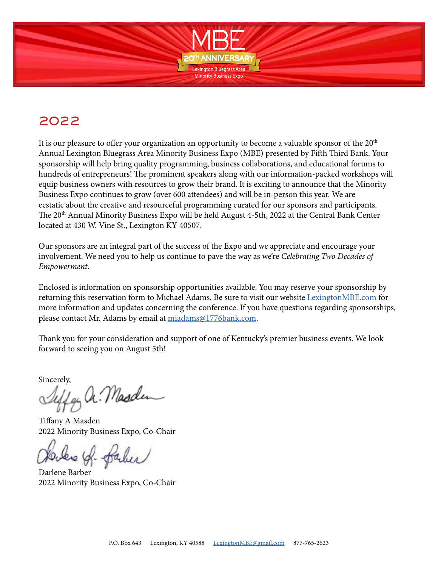

# **2022**

It is our pleasure to offer your organization an opportunity to become a valuable sponsor of the  $20<sup>th</sup>$ Annual Lexington Bluegrass Area Minority Business Expo (MBE) presented by Fifth Third Bank. Your sponsorship will help bring quality programming, business collaborations, and educational forums to hundreds of entrepreneurs! The prominent speakers along with our information-packed workshops will equip business owners with resources to grow their brand. It is exciting to announce that the Minority Business Expo continues to grow (over 600 attendees) and will be in-person this year. We are ecstatic about the creative and resourceful programming curated for our sponsors and participants. The 20<sup>th</sup> Annual Minority Business Expo will be held August 4-5th, 2022 at the Central Bank Center located at 430 W. Vine St., Lexington KY 40507.

Our sponsors are an integral part of the success of the Expo and we appreciate and encourage your involvement. We need you to help us continue to pave the way as we're *Celebrating Two Decades of Empowerment*.

Enclosed is information on sponsorship opportunities available. You may reserve your sponsorship by returning this reservation form to Michael Adams. Be sure to visit our website [LexingtonMBE.com](http://LexingtonMBE.com) for more information and updates concerning the conference. If you have questions regarding sponsorships, please contact Mr. Adams by email at [miadams@1776bank.com](mailto:miadams%401776bank.com?subject=MBE%20Sponsorship%20Infornation%20Request).

Thank you for your consideration and support of one of Kentucky's premier business events. We look forward to seeing you on August 5th!

Sincerely,

gy a. Masden

Tiffany A Masden 2022 Minority Business Expo, Co-Chair

Darlene Barber 2022 Minority Business Expo, Co-Chair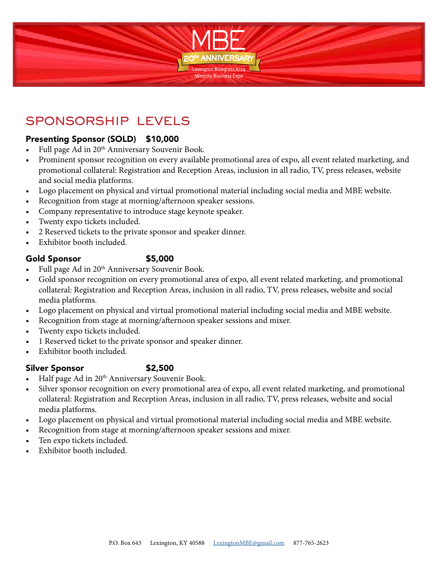

# **SPONSORSHIP LEVELS**

## Presenting Sponsor (SOLD) \$10,000

- Full page Ad in 20<sup>th</sup> Anniversary Souvenir Book.
- Prominent sponsor recognition on every available promotional area of expo, all event related marketing, and promotional collateral: Registration and Reception Areas, inclusion in all radio, TV, press releases, website and social media platforms.
- Logo placement on physical and virtual promotional material including social media and MBE website.
- Recognition from stage at morning/afternoon speaker sessions.
- Company representative to introduce stage keynote speaker.
- Twenty expo tickets included.
- 2 Reserved tickets to the private sponsor and speaker dinner.
- Exhibitor booth included.

### Gold Sponsor \$5,000

- Full page Ad in 20<sup>th</sup> Anniversary Souvenir Book.
- Gold sponsor recognition on every promotional area of expo, all event related marketing, and promotional collateral: Registration and Reception Areas, inclusion in all radio, TV, press releases, website and social media platforms.
- Logo placement on physical and virtual promotional material including social media and MBE website.
- Recognition from stage at morning/afternoon speaker sessions and mixer.
- Twenty expo tickets included.
- 1 Reserved ticket to the private sponsor and speaker dinner.
- Exhibitor booth included.

### Silver Sponsor \$2,500

- Half page Ad in 20<sup>th</sup> Anniversary Souvenir Book.
- Silver sponsor recognition on every promotional area of expo, all event related marketing, and promotional collateral: Registration and Reception Areas, inclusion in all radio, TV, press releases, website and social media platforms.
- Logo placement on physical and virtual promotional material including social media and MBE website.
- Recognition from stage at morning/afternoon speaker sessions and mixer.
- Ten expo tickets included.
- Exhibitor booth included.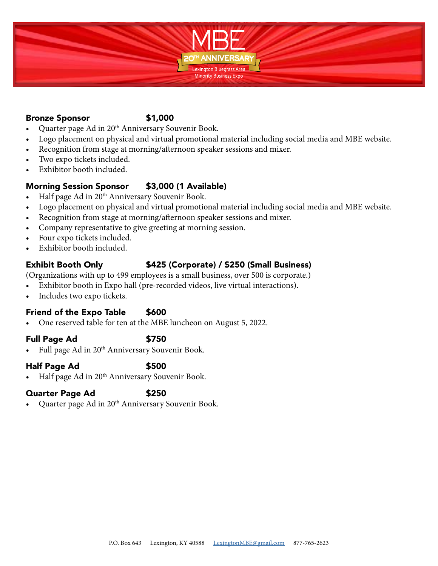

### Bronze Sponsor \$1,000

- Quarter page Ad in 20<sup>th</sup> Anniversary Souvenir Book.
- Logo placement on physical and virtual promotional material including social media and MBE website.
- Recognition from stage at morning/afternoon speaker sessions and mixer.
- Two expo tickets included.
- Exhibitor booth included.

## Morning Session Sponsor \$3,000 (1 Available)

- Half page Ad in 20<sup>th</sup> Anniversary Souvenir Book.
- Logo placement on physical and virtual promotional material including social media and MBE website.
- Recognition from stage at morning/afternoon speaker sessions and mixer.
- Company representative to give greeting at morning session.
- Four expo tickets included.
- Exhibitor booth included.

## Exhibit Booth Only \$425 (Corporate) / \$250 (Small Business)

(Organizations with up to 499 employees is a small business, over 500 is corporate.)

- Exhibitor booth in Expo hall (pre-recorded videos, live virtual interactions).
- Includes two expo tickets.

### Friend of the Expo Table \$600

• One reserved table for ten at the MBE luncheon on August 5, 2022.

### Full Page Ad \$750

- 
- Full page Ad in 20<sup>th</sup> Anniversary Souvenir Book.

### Half Page Ad \$500

Half page Ad in 20<sup>th</sup> Anniversary Souvenir Book.

# Quarter Page Ad \$250

Quarter page Ad in 20<sup>th</sup> Anniversary Souvenir Book.